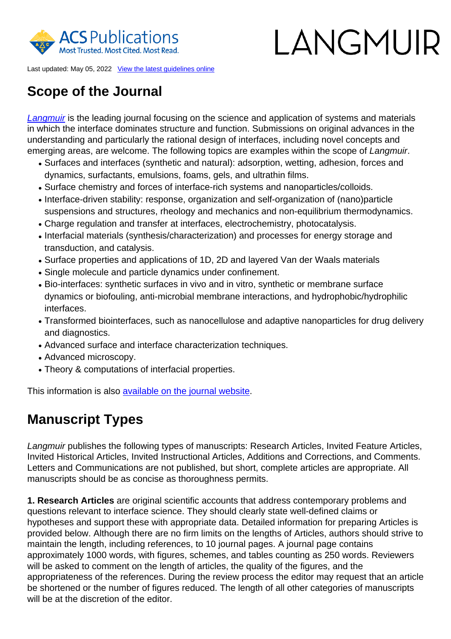

# I ANGMUR

Last updated: May 05, 2022 [View the latest guidelines online](https://publish.acs.org/publish/author_guidelines?coden=langd5)

# **Scope of the Journal**

[Langmuir](https://pubs.acs.org/page/langd5/about.html) is the leading journal focusing on the science and application of systems and materials in which the interface dominates structure and function. Submissions on original advances in the understanding and particularly the rational design of interfaces, including novel concepts and emerging areas, are welcome. The following topics are examples within the scope of Langmuir.

- Surfaces and interfaces (synthetic and natural): adsorption, wetting, adhesion, forces and dynamics, surfactants, emulsions, foams, gels, and ultrathin films.
- Surface chemistry and forces of interface-rich systems and nanoparticles/colloids.
- Interface-driven stability: response, organization and self-organization of (nano)particle suspensions and structures, rheology and mechanics and non-equilibrium thermodynamics.
- Charge regulation and transfer at interfaces, electrochemistry, photocatalysis.
- Interfacial materials (synthesis/characterization) and processes for energy storage and transduction, and catalysis.
- Surface properties and applications of 1D, 2D and layered Van der Waals materials
- Single molecule and particle dynamics under confinement.
- Bio-interfaces: synthetic surfaces in vivo and in vitro, synthetic or membrane surface dynamics or biofouling, anti-microbial membrane interactions, and hydrophobic/hydrophilic interfaces.
- Transformed biointerfaces, such as nanocellulose and adaptive nanoparticles for drug delivery and diagnostics.
- Advanced surface and interface characterization techniques.
- Advanced microscopy.
- Theory & computations of interfacial properties.

This information is also [available on the journal website](https://pubs.acs.org/page/langd5/about.html).

# **Manuscript Types**

Langmuir publishes the following types of manuscripts: Research Articles, Invited Feature Articles, Invited Historical Articles, Invited Instructional Articles, Additions and Corrections, and Comments. Letters and Communications are not published, but short, complete articles are appropriate. All manuscripts should be as concise as thoroughness permits.

**1. Research Articles** are original scientific accounts that address contemporary problems and questions relevant to interface science. They should clearly state well-defined claims or hypotheses and support these with appropriate data. Detailed information for preparing Articles is provided below. Although there are no firm limits on the lengths of Articles, authors should strive to maintain the length, including references, to 10 journal pages. A journal page contains approximately 1000 words, with figures, schemes, and tables counting as 250 words. Reviewers will be asked to comment on the length of articles, the quality of the figures, and the appropriateness of the references. During the review process the editor may request that an article be shortened or the number of figures reduced. The length of all other categories of manuscripts will be at the discretion of the editor.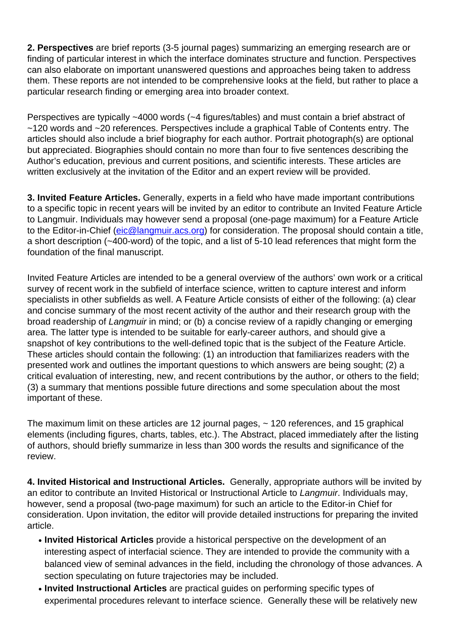**2. Perspectives** are brief reports (3-5 journal pages) summarizing an emerging research are or finding of particular interest in which the interface dominates structure and function. Perspectives can also elaborate on important unanswered questions and approaches being taken to address them. These reports are not intended to be comprehensive looks at the field, but rather to place a particular research finding or emerging area into broader context.

Perspectives are typically ~4000 words (~4 figures/tables) and must contain a brief abstract of ~120 words and ~20 references. Perspectives include a graphical Table of Contents entry. The articles should also include a brief biography for each author. Portrait photograph(s) are optional but appreciated. Biographies should contain no more than four to five sentences describing the Author's education, previous and current positions, and scientific interests. These articles are written exclusively at the invitation of the Editor and an expert review will be provided.

**3. Invited Feature Articles.** Generally, experts in a field who have made important contributions to a specific topic in recent years will be invited by an editor to contribute an Invited Feature Article to Langmuir. Individuals may however send a proposal (one-page maximum) for a Feature Article to the Editor-in-Chief [\(eic@langmuir.acs.org\)](mailto:eic@langmuir.acs.org) for consideration. The proposal should contain a title, a short description (~400-word) of the topic, and a list of 5-10 lead references that might form the foundation of the final manuscript.

Invited Feature Articles are intended to be a general overview of the authors' own work or a critical survey of recent work in the subfield of interface science, written to capture interest and inform specialists in other subfields as well. A Feature Article consists of either of the following: (a) clear and concise summary of the most recent activity of the author and their research group with the broad readership of Langmuir in mind; or (b) a concise review of a rapidly changing or emerging area. The latter type is intended to be suitable for early-career authors, and should give a snapshot of key contributions to the well-defined topic that is the subject of the Feature Article. These articles should contain the following: (1) an introduction that familiarizes readers with the presented work and outlines the important questions to which answers are being sought; (2) a critical evaluation of interesting, new, and recent contributions by the author, or others to the field; (3) a summary that mentions possible future directions and some speculation about the most important of these.

The maximum limit on these articles are 12 journal pages, ~ 120 references, and 15 graphical elements (including figures, charts, tables, etc.). The Abstract, placed immediately after the listing of authors, should briefly summarize in less than 300 words the results and significance of the review.

**4. Invited Historical and Instructional Articles.** Generally, appropriate authors will be invited by an editor to contribute an Invited Historical or Instructional Article to Langmuir. Individuals may, however, send a proposal (two-page maximum) for such an article to the Editor-in Chief for consideration. Upon invitation, the editor will provide detailed instructions for preparing the invited article.

- Invited Historical Articles provide a historical perspective on the development of an interesting aspect of interfacial science. They are intended to provide the community with a balanced view of seminal advances in the field, including the chronology of those advances. A section speculating on future trajectories may be included.
- **Invited Instructional Articles** are practical guides on performing specific types of experimental procedures relevant to interface science. Generally these will be relatively new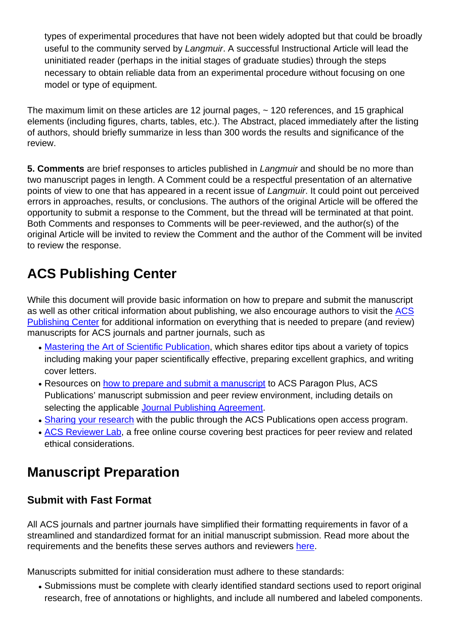types of experimental procedures that have not been widely adopted but that could be broadly useful to the community served by Langmuir. A successful Instructional Article will lead the uninitiated reader (perhaps in the initial stages of graduate studies) through the steps necessary to obtain reliable data from an experimental procedure without focusing on one model or type of equipment.

The maximum limit on these articles are 12 journal pages, ~ 120 references, and 15 graphical elements (including figures, charts, tables, etc.). The Abstract, placed immediately after the listing of authors, should briefly summarize in less than 300 words the results and significance of the review.

**5. Comments** are brief responses to articles published in Langmuir and should be no more than two manuscript pages in length. A Comment could be a respectful presentation of an alternative points of view to one that has appeared in a recent issue of Langmuir. It could point out perceived errors in approaches, results, or conclusions. The authors of the original Article will be offered the opportunity to submit a response to the Comment, but the thread will be terminated at that point. Both Comments and responses to Comments will be peer-reviewed, and the author(s) of the original Article will be invited to review the Comment and the author of the Comment will be invited to review the response.

# **ACS Publishing Center**

While this document will provide basic information on how to prepare and submit the manuscript as well as other critical information about publishing, we also encourage authors to visit the [ACS](http://publish.acs.org/publish/) [Publishing Center](http://publish.acs.org/publish/) for additional information on everything that is needed to prepare (and review) manuscripts for ACS journals and partner journals, such as

- [Mastering the Art of Scientific Publication,](https://pubs.acs.org/page/vi/art_of_scientific_publication.html) which shares editor tips about a variety of topics including making your paper scientifically effective, preparing excellent graphics, and writing cover letters.
- Resources on [how to prepare and submit a manuscript](https://publish.acs.org/publish/manu_prep_sub) to ACS Paragon Plus, ACS Publications' manuscript submission and peer review environment, including details on selecting the applicable [Journal Publishing Agreement.](https://pubs.acs.org/page/copyright/journals/jpa_index.html)
- [Sharing your research](https://publish.acs.org/publish/research_share_and_oa) with the public through the ACS Publications open access program.
- **[ACS Reviewer Lab](https://institute.acs.org/courses/acs-reviewer-lab.html)**, a free online course covering best practices for peer review and related ethical considerations.

# **Manuscript Preparation**

#### **Submit with Fast Format**

All ACS journals and partner journals have simplified their formatting requirements in favor of a streamlined and standardized format for an initial manuscript submission. Read more about the requirements and the benefits these serves authors and reviewers [here.](https://pubs.acs.org/page/publish/fast_format)

Manuscripts submitted for initial consideration must adhere to these standards:

• Submissions must be complete with clearly identified standard sections used to report original research, free of annotations or highlights, and include all numbered and labeled components.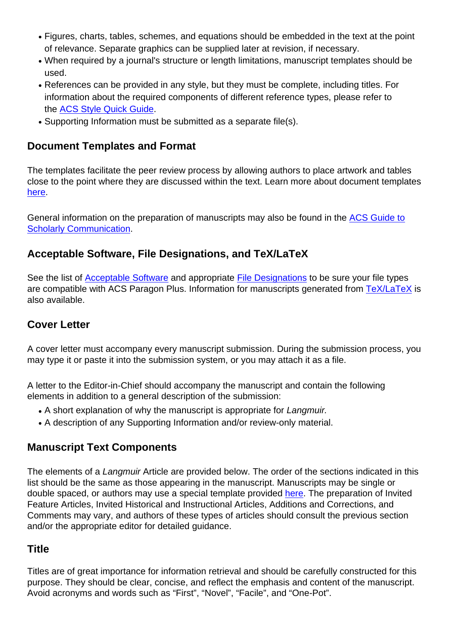- Figures, charts, tables, schemes, and equations should be embedded in the text at the point of relevance. Separate graphics can be supplied later at revision, if necessary.
- When required by a journal's structure or length limitations, manuscript templates should be used.
- References can be provided in any style, but they must be complete, including titles. For information about the required components of different reference types, please refer to the [ACS Style Quick Guide.](https://pubs.acs.org/doi/full/10.1021/acsguide.40303)
- Supporting Information must be submitted as a separate file(s).

#### **Document Templates and Format**

The templates facilitate the peer review process by allowing authors to place artwork and tables close to the point where they are discussed within the text. Learn more about document templates [here](https://pubs.acs.org/page/langd5/submission/authors.html#templates).

General information on the preparation of manuscripts may also be found in the [ACS Guide to](https://pubs.acs.org/series/styleguide) [Scholarly Communication](https://pubs.acs.org/series/styleguide).

#### **Acceptable Software, File Designations, and TeX/LaTeX**

See the list of [Acceptable Software](http://pubs.acs.org/page/4authors/submission/software.html) and appropriate [File Designations](http://pubs.acs.org/page/4authors/submission/choosing_filetypes.html) to be sure your file types are compatible with ACS Paragon Plus. Information for manuscripts generated from [TeX/LaTeX](https://pubs.acs.org/page/4authors/submission/tex.html) is also available.

## **Cover Letter**

A cover letter must accompany every manuscript submission. During the submission process, you may type it or paste it into the submission system, or you may attach it as a file.

A letter to the Editor-in-Chief should accompany the manuscript and contain the following elements in addition to a general description of the submission:

- A short explanation of why the manuscript is appropriate for Langmuir.
- A description of any Supporting Information and/or review-only material.

## **Manuscript Text Components**

The elements of a Langmuir Article are provided below. The order of the sections indicated in this list should be the same as those appearing in the manuscript. Manuscripts may be single or double spaced, or authors may use a special template provided [here](https://pubs.acs.org/page/langd5/submission/authors.html#templates). The preparation of Invited Feature Articles, Invited Historical and Instructional Articles, Additions and Corrections, and Comments may vary, and authors of these types of articles should consult the previous section and/or the appropriate editor for detailed guidance.

## **Title**

Titles are of great importance for information retrieval and should be carefully constructed for this purpose. They should be clear, concise, and reflect the emphasis and content of the manuscript. Avoid acronyms and words such as "First", "Novel", "Facile", and "One-Pot".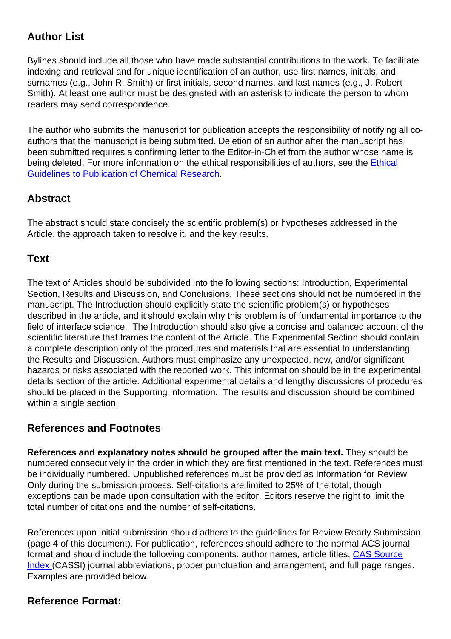# **Author List**

Bylines should include all those who have made substantial contributions to the work. To facilitate indexing and retrieval and for unique identification of an author, use first names, initials, and surnames (e.g., John R. Smith) or first initials, second names, and last names (e.g., J. Robert Smith). At least one author must be designated with an asterisk to indicate the person to whom readers may send correspondence.

The author who submits the manuscript for publication accepts the responsibility of notifying all coauthors that the manuscript is being submitted. Deletion of an author after the manuscript has been submitted requires a confirming letter to the Editor-in-Chief from the author whose name is being deleted. For more information on the ethical responsibilities of authors, see the [Ethical](http://pubs.acs.org/ethics) [Guidelines to Publication of Chemical Research](http://pubs.acs.org/ethics).

## **Abstract**

The abstract should state concisely the scientific problem(s) or hypotheses addressed in the Article, the approach taken to resolve it, and the key results.

#### **Text**

The text of Articles should be subdivided into the following sections: Introduction, Experimental Section, Results and Discussion, and Conclusions. These sections should not be numbered in the manuscript. The Introduction should explicitly state the scientific problem(s) or hypotheses described in the article, and it should explain why this problem is of fundamental importance to the field of interface science. The Introduction should also give a concise and balanced account of the scientific literature that frames the content of the Article. The Experimental Section should contain a complete description only of the procedures and materials that are essential to understanding the Results and Discussion. Authors must emphasize any unexpected, new, and/or significant hazards or risks associated with the reported work. This information should be in the experimental details section of the article. Additional experimental details and lengthy discussions of procedures should be placed in the Supporting Information. The results and discussion should be combined within a single section.

#### **References and Footnotes**

**References and explanatory notes should be grouped after the main text.** They should be numbered consecutively in the order in which they are first mentioned in the text. References must be individually numbered. Unpublished references must be provided as Information for Review Only during the submission process. Self-citations are limited to 25% of the total, though exceptions can be made upon consultation with the editor. Editors reserve the right to limit the total number of citations and the number of self-citations.

References upon initial submission should adhere to the guidelines for Review Ready Submission (page 4 of this document). For publication, references should adhere to the normal ACS journal format and should include the following components: author names, article titles, [CAS Source](http://cassi.cas.org/) [Index](http://cassi.cas.org/) (CASSI) journal abbreviations, proper punctuation and arrangement, and full page ranges. Examples are provided below.

## **Reference Format:**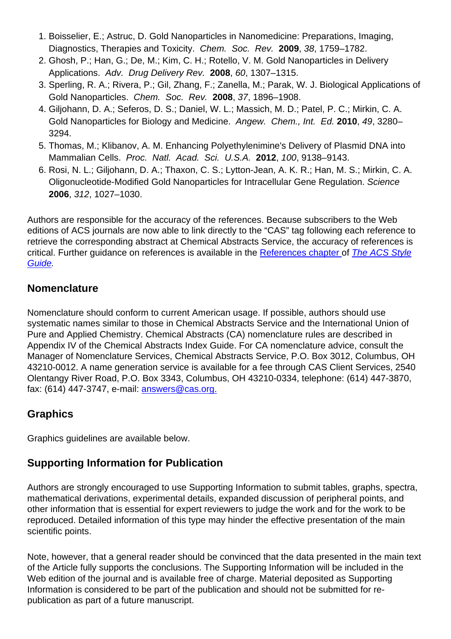- 1. Boisselier, E.; Astruc, D. Gold Nanoparticles in Nanomedicine: Preparations, Imaging, Diagnostics, Therapies and Toxicity. Chem. Soc. Rev. **2009**, 38, 1759–1782.
- 2. Ghosh, P.; Han, G.; De, M.; Kim, C. H.; Rotello, V. M. Gold Nanoparticles in Delivery Applications. Adv. Drug Delivery Rev. **2008**, 60, 1307–1315.
- 3. Sperling, R. A.; Rivera, P.; Gil, Zhang, F.; Zanella, M.; Parak, W. J. Biological Applications of Gold Nanoparticles. Chem. Soc. Rev. **2008**, 37, 1896–1908.
- 4. Giljohann, D. A.; Seferos, D. S.; Daniel, W. L.; Massich, M. D.; Patel, P. C.; Mirkin, C. A. Gold Nanoparticles for Biology and Medicine. Angew. Chem., Int. Ed. **2010**, 49, 3280– 3294.
- 5. Thomas, M.; Klibanov, A. M. Enhancing Polyethylenimine's Delivery of Plasmid DNA into Mammalian Cells. Proc. Natl. Acad. Sci. U.S.A. **2012**, 100, 9138–9143.
- 6. Rosi, N. L.; Giljohann, D. A.; Thaxon, C. S.; Lytton-Jean, A. K. R.; Han, M. S.; Mirkin, C. A. Oligonucleotide-Modified Gold Nanoparticles for Intracellular Gene Regulation. Science **2006**, 312, 1027–1030.

Authors are responsible for the accuracy of the references. Because subscribers to the Web editions of ACS journals are now able to link directly to the "CAS" tag following each reference to retrieve the corresponding abstract at Chemical Abstracts Service, the accuracy of references is critical. Further guidance on references is available in the [References chapter](http://pubs.acs.org/doi/pdf/10.1021/bk-2006-STYG.ch014) [o](http://pubs.acs.org/doi/pdf/10.1021/bk-2006-STYG.ch014)f [The ACS Style](http://pubs.acs.org/isbn/9780841239999) [Guide](http://pubs.acs.org/isbn/9780841239999).

#### **Nomenclature**

Nomenclature should conform to current American usage. If possible, authors should use systematic names similar to those in Chemical Abstracts Service and the International Union of Pure and Applied Chemistry. Chemical Abstracts (CA) nomenclature rules are described in Appendix IV of the Chemical Abstracts Index Guide. For CA nomenclature advice, consult the Manager of Nomenclature Services, Chemical Abstracts Service, P.O. Box 3012, Columbus, OH 43210-0012. A name generation service is available for a fee through CAS Client Services, 2540 Olentangy River Road, P.O. Box 3343, Columbus, OH 43210-0334, telephone: (614) 447-3870, fax: (614) 447-3747, e-mail: [answers@cas.org.](mailto:answers@cas.org)

#### **Graphics**

Graphics guidelines are available below.

#### **Supporting Information for Publication**

Authors are strongly encouraged to use Supporting Information to submit tables, graphs, spectra, mathematical derivations, experimental details, expanded discussion of peripheral points, and other information that is essential for expert reviewers to judge the work and for the work to be reproduced. Detailed information of this type may hinder the effective presentation of the main scientific points.

Note, however, that a general reader should be convinced that the data presented in the main text of the Article fully supports the conclusions. The Supporting Information will be included in the Web edition of the journal and is available free of charge. Material deposited as Supporting Information is considered to be part of the publication and should not be submitted for republication as part of a future manuscript.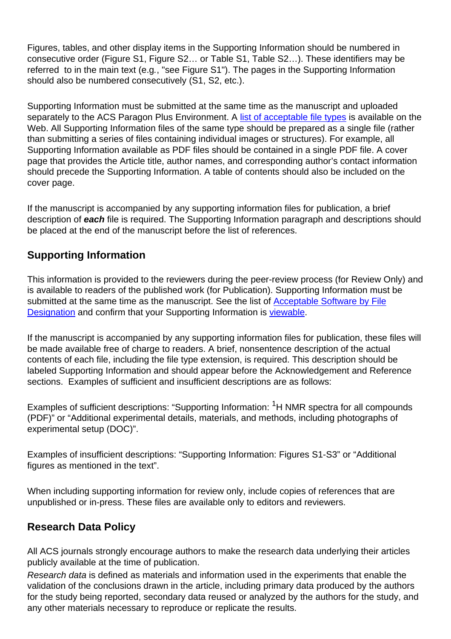Figures, tables, and other display items in the Supporting Information should be numbered in consecutive order (Figure S1, Figure S2… or Table S1, Table S2…). These identifiers may be referred to in the main text (e.g., "see Figure S1"). The pages in the Supporting Information should also be numbered consecutively (S1, S2, etc.).

Supporting Information must be submitted at the same time as the manuscript and uploaded separately to the ACS Paragon Plus Environment. A [list of acceptable file types](http://pubs.acs.org/page/4authors/submission/software.html) is available on the Web. All Supporting Information files of the same type should be prepared as a single file (rather than submitting a series of files containing individual images or structures). For example, all Supporting Information available as PDF files should be contained in a single PDF file. A cover page that provides the Article title, author names, and corresponding author's contact information should precede the Supporting Information. A table of contents should also be included on the cover page.

If the manuscript is accompanied by any supporting information files for publication, a brief description of **each** file is required. The Supporting Information paragraph and descriptions should be placed at the end of the manuscript before the list of references.

# **Supporting Information**

This information is provided to the reviewers during the peer-review process (for Review Only) and is available to readers of the published work (for Publication). Supporting Information must be submitted at the same time as the manuscript. See the list of [Acceptable Software by File](https://pubs.acs.org/page/4authors/submission/software.html) [Designation](https://pubs.acs.org/page/4authors/submission/software.html) and confirm that your Supporting Information is [viewable](http://pubs.acs.org/page/4authors/tools/viewers.html).

If the manuscript is accompanied by any supporting information files for publication, these files will be made available free of charge to readers. A brief, nonsentence description of the actual contents of each file, including the file type extension, is required. This description should be labeled Supporting Information and should appear before the Acknowledgement and Reference sections. Examples of sufficient and insufficient descriptions are as follows:

Examples of sufficient descriptions: "Supporting Information: <sup>1</sup>H NMR spectra for all compounds (PDF)" or "Additional experimental details, materials, and methods, including photographs of experimental setup (DOC)".

Examples of insufficient descriptions: "Supporting Information: Figures S1-S3" or "Additional figures as mentioned in the text".

When including supporting information for review only, include copies of references that are unpublished or in-press. These files are available only to editors and reviewers.

## **Research Data Policy**

All ACS journals strongly encourage authors to make the research data underlying their articles publicly available at the time of publication.

Research data is defined as materials and information used in the experiments that enable the validation of the conclusions drawn in the article, including primary data produced by the authors for the study being reported, secondary data reused or analyzed by the authors for the study, and any other materials necessary to reproduce or replicate the results.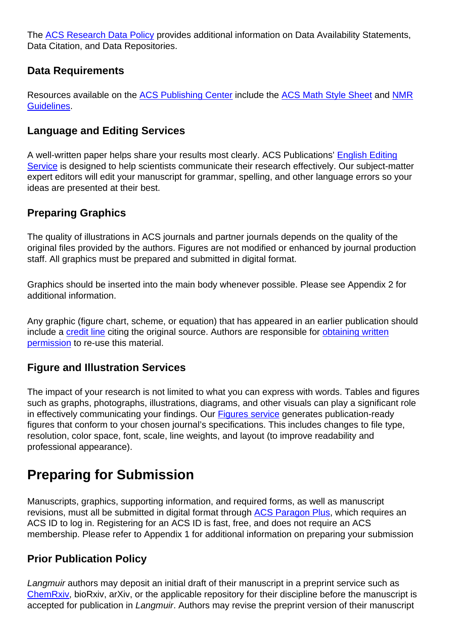The [ACS Research Data Policy](https://publish.acs.org/publish/data_policy) provides additional information on Data Availability Statements, Data Citation, and Data Repositories.

#### **Data Requirements**

Resources available on the [ACS Publishing Center](https://publish.acs.org/publish/) include the [ACS Math Style Sheet](http://pubsapp.acs.org/paragonplus/submission/acs_math-stylesheet.pdf) and [NMR](http://pubsapp.acs.org/paragonplus/submission/acs_nmr_guidelines.pdf) [Guidelines.](http://pubsapp.acs.org/paragonplus/submission/acs_nmr_guidelines.pdf)

#### **Language and Editing Services**

A well-written paper helps share your results most clearly. ACS Publications' [English Editing](https://authoringservices.acs.org/en/) [Service](https://authoringservices.acs.org/en/) is designed to help scientists communicate their research effectively. Our subject-matter expert editors will edit your manuscript for grammar, spelling, and other language errors so your ideas are presented at their best.

#### **Preparing Graphics**

The quality of illustrations in ACS journals and partner journals depends on the quality of the original files provided by the authors. Figures are not modified or enhanced by journal production staff. All graphics must be prepared and submitted in digital format.

Graphics should be inserted into the main body whenever possible. Please see Appendix 2 for additional information.

Any graphic (figure chart, scheme, or equation) that has appeared in an earlier publication should include a [credit line](https://pubs.acs.org/page/copyright/permissions_otherpub.html) citing the original source. Authors are responsible for [obtaining written](https://pubs.acs.org/page/copyright/permissions_otherpub.html) [permission](https://pubs.acs.org/page/copyright/permissions_otherpub.html) to re-use this material.

## **Figure and Illustration Services**

The impact of your research is not limited to what you can express with words. Tables and figures such as graphs, photographs, illustrations, diagrams, and other visuals can play a significant role in effectively communicating your findings. Our [Figures service](https://authoringservices.acs.org/en/figures/) generates publication-ready figures that conform to your chosen journal's specifications. This includes changes to file type, resolution, color space, font, scale, line weights, and layout (to improve readability and professional appearance).

# **Preparing for Submission**

Manuscripts, graphics, supporting information, and required forms, as well as manuscript revisions, must all be submitted in digital format through [ACS Paragon Plus](paragon_plus_journal_info?coden=langd5), which requires an ACS ID to log in. Registering for an ACS ID is fast, free, and does not require an ACS membership. Please refer to Appendix 1 for additional information on preparing your submission

#### **Prior Publication Policy**

Langmuir authors may deposit an initial draft of their manuscript in a preprint service such as [ChemRxiv](https://chemrxiv.org/), bioRxiv, arXiv, or the applicable repository for their discipline before the manuscript is accepted for publication in Langmuir. Authors may revise the preprint version of their manuscript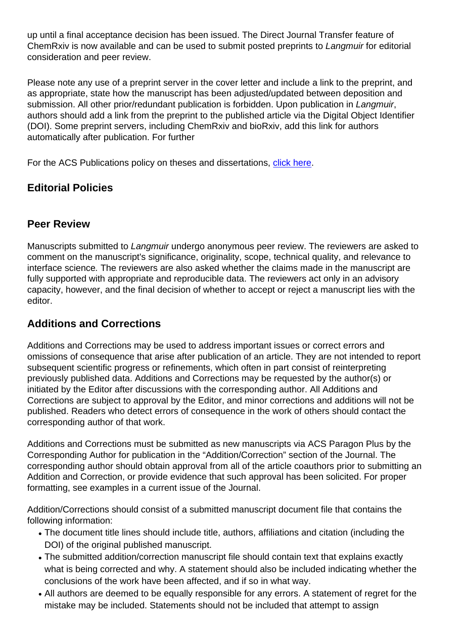up until a final acceptance decision has been issued. The Direct Journal Transfer feature of ChemRxiv is now available and can be used to submit posted preprints to Langmuir for editorial consideration and peer review.

Please note any use of a preprint server in the cover letter and include a link to the preprint, and as appropriate, state how the manuscript has been adjusted/updated between deposition and submission. All other prior/redundant publication is forbidden. Upon publication in Langmuir, authors should add a link from the preprint to the published article via the Digital Object Identifier (DOI). Some preprint servers, including ChemRxiv and bioRxiv, add this link for authors automatically after publication. For further

For the ACS Publications policy on theses and dissertations, [click here.](http://pubs.acs.org/pb-assets/acspubs/Migrated/dissertation.pdf)

# **Editorial Policies**

#### **Peer Review**

Manuscripts submitted to Langmuir undergo anonymous peer review. The reviewers are asked to comment on the manuscript's significance, originality, scope, technical quality, and relevance to interface science. The reviewers are also asked whether the claims made in the manuscript are fully supported with appropriate and reproducible data. The reviewers act only in an advisory capacity, however, and the final decision of whether to accept or reject a manuscript lies with the editor.

# **Additions and Corrections**

Additions and Corrections may be used to address important issues or correct errors and omissions of consequence that arise after publication of an article. They are not intended to report subsequent scientific progress or refinements, which often in part consist of reinterpreting previously published data. Additions and Corrections may be requested by the author(s) or initiated by the Editor after discussions with the corresponding author. All Additions and Corrections are subject to approval by the Editor, and minor corrections and additions will not be published. Readers who detect errors of consequence in the work of others should contact the corresponding author of that work.

Additions and Corrections must be submitted as new manuscripts via ACS Paragon Plus by the Corresponding Author for publication in the "Addition/Correction" section of the Journal. The corresponding author should obtain approval from all of the article coauthors prior to submitting an Addition and Correction, or provide evidence that such approval has been solicited. For proper formatting, see examples in a current issue of the Journal.

Addition/Corrections should consist of a submitted manuscript document file that contains the following information:

- The document title lines should include title, authors, affiliations and citation (including the DOI) of the original published manuscript.
- The submitted addition/correction manuscript file should contain text that explains exactly what is being corrected and why. A statement should also be included indicating whether the conclusions of the work have been affected, and if so in what way.
- All authors are deemed to be equally responsible for any errors. A statement of regret for the mistake may be included. Statements should not be included that attempt to assign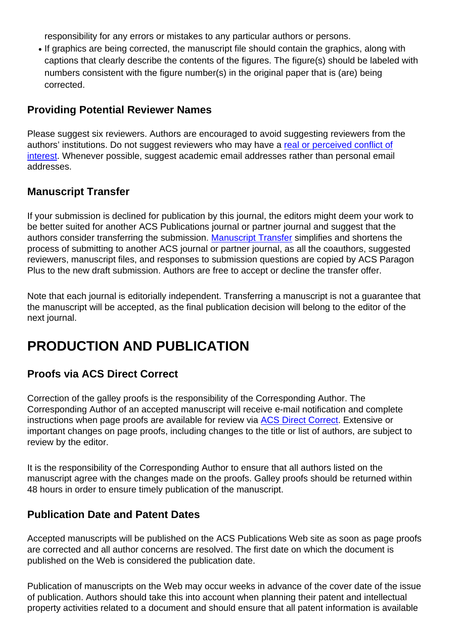responsibility for any errors or mistakes to any particular authors or persons.

• If graphics are being corrected, the manuscript file should contain the graphics, along with captions that clearly describe the contents of the figures. The figure(s) should be labeled with numbers consistent with the figure number(s) in the original paper that is (are) being corrected.

#### **Providing Potential Reviewer Names**

Please suggest six reviewers. Authors are encouraged to avoid suggesting reviewers from the authors' institutions. Do not suggest reviewers who may have a [real or perceived conflict of](https://pubs.acs.org/page/policy/ethics/index.html) [interest](https://pubs.acs.org/page/policy/ethics/index.html). Whenever possible, suggest academic email addresses rather than personal email addresses.

#### **Manuscript Transfer**

If your submission is declined for publication by this journal, the editors might deem your work to be better suited for another ACS Publications journal or partner journal and suggest that the authors consider transferring the submission. [Manuscript Transfer](https://pubs.acs.org/page/policy/manuscript_transfer/index.html) simplifies and shortens the process of submitting to another ACS journal or partner journal, as all the coauthors, suggested reviewers, manuscript files, and responses to submission questions are copied by ACS Paragon Plus to the new draft submission. Authors are free to accept or decline the transfer offer.

Note that each journal is editorially independent. Transferring a manuscript is not a guarantee that the manuscript will be accepted, as the final publication decision will belong to the editor of the next journal.

# **PRODUCTION AND PUBLICATION**

#### **Proofs via ACS Direct Correct**

Correction of the galley proofs is the responsibility of the Corresponding Author. The Corresponding Author of an accepted manuscript will receive e-mail notification and complete instructions when page proofs are available for review via [ACS Direct Correct](https://www.acs.org/content/acs/en/pressroom/newsreleases/2017/august/acs-publications-introducing-acs-direct-correct-to-improve-the-author-experience.html). Extensive or important changes on page proofs, including changes to the title or list of authors, are subject to review by the editor.

It is the responsibility of the Corresponding Author to ensure that all authors listed on the manuscript agree with the changes made on the proofs. Galley proofs should be returned within 48 hours in order to ensure timely publication of the manuscript.

#### **Publication Date and Patent Dates**

Accepted manuscripts will be published on the ACS Publications Web site as soon as page proofs are corrected and all author concerns are resolved. The first date on which the document is published on the Web is considered the publication date.

Publication of manuscripts on the Web may occur weeks in advance of the cover date of the issue of publication. Authors should take this into account when planning their patent and intellectual property activities related to a document and should ensure that all patent information is available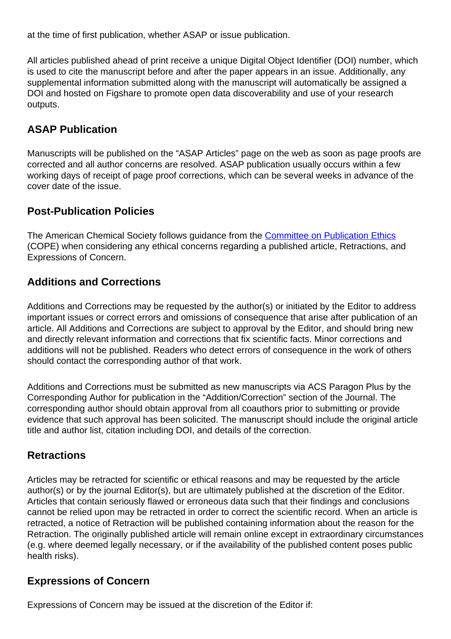at the time of first publication, whether ASAP or issue publication.

All articles published ahead of print receive a unique Digital Object Identifier (DOI) number, which is used to cite the manuscript before and after the paper appears in an issue. Additionally, any supplemental information submitted along with the manuscript will automatically be assigned a DOI and hosted on Figshare to promote open data discoverability and use of your research outputs.

## **ASAP Publication**

Manuscripts will be published on the "ASAP Articles" page on the web as soon as page proofs are corrected and all author concerns are resolved. ASAP publication usually occurs within a few working days of receipt of page proof corrections, which can be several weeks in advance of the cover date of the issue.

#### **Post-Publication Policies**

The American Chemical Society follows guidance from the [Committee on Publication Ethics](https://publicationethics.org/) (COPE) when considering any ethical concerns regarding a published article, Retractions, and Expressions of Concern.

#### **Additions and Corrections**

Additions and Corrections may be requested by the author(s) or initiated by the Editor to address important issues or correct errors and omissions of consequence that arise after publication of an article. All Additions and Corrections are subject to approval by the Editor, and should bring new and directly relevant information and corrections that fix scientific facts. Minor corrections and additions will not be published. Readers who detect errors of consequence in the work of others should contact the corresponding author of that work.

Additions and Corrections must be submitted as new manuscripts via ACS Paragon Plus by the Corresponding Author for publication in the "Addition/Correction" section of the Journal. The corresponding author should obtain approval from all coauthors prior to submitting or provide evidence that such approval has been solicited. The manuscript should include the original article title and author list, citation including DOI, and details of the correction.

#### **Retractions**

Articles may be retracted for scientific or ethical reasons and may be requested by the article author(s) or by the journal Editor(s), but are ultimately published at the discretion of the Editor. Articles that contain seriously flawed or erroneous data such that their findings and conclusions cannot be relied upon may be retracted in order to correct the scientific record. When an article is retracted, a notice of Retraction will be published containing information about the reason for the Retraction. The originally published article will remain online except in extraordinary circumstances (e.g. where deemed legally necessary, or if the availability of the published content poses public health risks).

#### **Expressions of Concern**

Expressions of Concern may be issued at the discretion of the Editor if: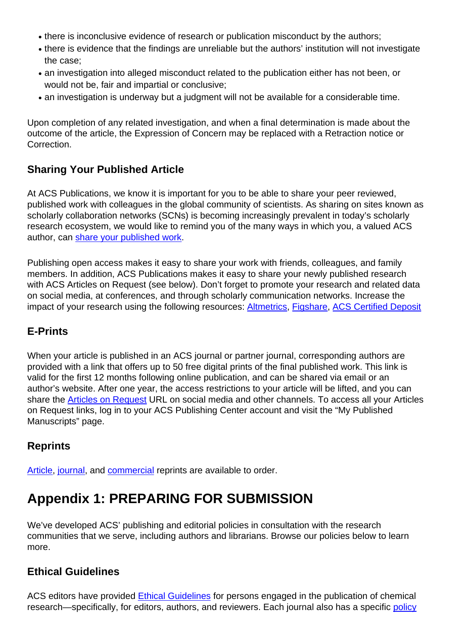- there is inconclusive evidence of research or publication misconduct by the authors;
- there is evidence that the findings are unreliable but the authors' institution will not investigate the case;
- an investigation into alleged misconduct related to the publication either has not been, or would not be, fair and impartial or conclusive;
- an investigation is underway but a judgment will not be available for a considerable time.

Upon completion of any related investigation, and when a final determination is made about the outcome of the article, the Expression of Concern may be replaced with a Retraction notice or Correction.

## **Sharing Your Published Article**

At ACS Publications, we know it is important for you to be able to share your peer reviewed, published work with colleagues in the global community of scientists. As sharing on sites known as scholarly collaboration networks (SCNs) is becoming increasingly prevalent in today's scholarly research ecosystem, we would like to remind you of the many ways in which you, a valued ACS author, can [share your published work](https://pubs.acs.org/page/policy/sharingguidelines).

Publishing open access makes it easy to share your work with friends, colleagues, and family members. In addition, ACS Publications makes it easy to share your newly published research with ACS Articles on Request (see below). Don't forget to promote your research and related data on social media, at conferences, and through scholarly communication networks. Increase the impact of your research using the following resources: [Altmetrics,](http://axial.acs.org/2016/12/16/acs-altmetric-scores/) [Figshare](https://figshare.com/), [ACS Certified Deposit](https://pubs.acs.org/page/4authors/certified.html)

## **E-Prints**

When your article is published in an ACS journal or partner journal, corresponding authors are provided with a link that offers up to 50 free digital prints of the final published work. This link is valid for the first 12 months following online publication, and can be shared via email or an author's website. After one year, the access restrictions to your article will be lifted, and you can share the [Articles on Request](http://pubs.acs.org/page/policy/articlesonrequest/index.html) URL on social media and other channels. To access all your Articles on Request links, log in to your ACS Publishing Center account and visit the "My Published Manuscripts" page.

#### **Reprints**

[Article](https://pubstore.acs.org/reprints.html), [journal](https://pubstore.acs.org/journals.html), and [commercial](https://helpfaqs.acs.org/2011/05/04/ordering-commercial-reprints-for-acs-articles) reprints are available to order.

# **Appendix 1: PREPARING FOR SUBMISSION**

We've developed ACS' publishing and editorial policies in consultation with the research communities that we serve, including authors and librarians. Browse our policies below to learn more.

#### **Ethical Guidelines**

ACS editors have provided [Ethical Guidelines](https://pubs.acs.org/page/policy/ethics/index.html) for persons engaged in the publication of chemical research—specifically, for editors, authors, and reviewers. Each journal also has a specific [policy](https://pubs.acs.org/page/policy/prior/index.html)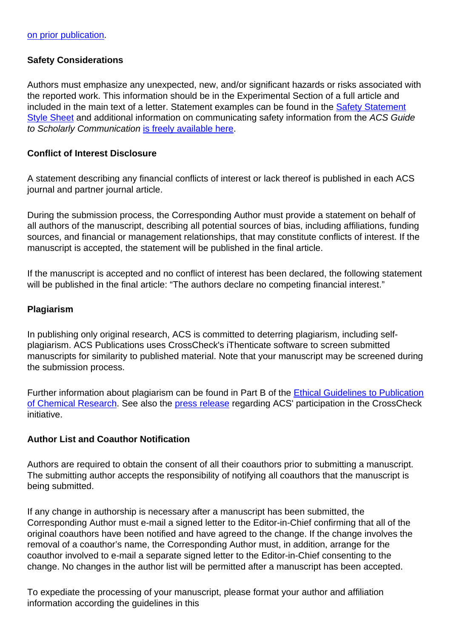#### **Safety Considerations**

Authors must emphasize any unexpected, new, and/or significant hazards or risks associated with the reported work. This information should be in the Experimental Section of a full article and included in the main text of a letter. Statement examples can be found in the [Safety](https://pubs.acs.org/pb-assets/documents/policy/Safety_Statement_Style_Sheet.pdf) [Statement](https://pubs.acs.org/pb-assets/documents/policy/Safety_Statement_Style_Sheet.pdf) [Style Sheet](https://pubs.acs.org/pb-assets/documents/policy/Safety_Statement_Style_Sheet.pdf) and additional information on communicating safety information from the ACS Guide to Scholarly Communication [is freely available here](https://pubsapp.acs.org/paragonplus/submission/ACS_Guide_to_Scholarly_Communication_1.3_Communicating_Safety_Information.pdf).

#### **Conflict of Interest Disclosure**

A statement describing any financial conflicts of interest or lack thereof is published in each ACS journal and partner journal article.

During the submission process, the Corresponding Author must provide a statement on behalf of all authors of the manuscript, describing all potential sources of bias, including affiliations, funding sources, and financial or management relationships, that may constitute conflicts of interest. If the manuscript is accepted, the statement will be published in the final article.

If the manuscript is accepted and no conflict of interest has been declared, the following statement will be published in the final article: "The authors declare no competing financial interest."

#### **Plagiarism**

In publishing only original research, ACS is committed to deterring plagiarism, including selfplagiarism. ACS Publications uses CrossCheck's iThenticate software to screen submitted manuscripts for similarity to published material. Note that your manuscript may be screened during the submission process.

Further information about plagiarism can be found in Part B of the **[Ethical Guidelines to Publication](https://pubs.acs.org/userimages/ContentEditor/1218054468605/ethics.pdf)** [of Chemical Research](https://pubs.acs.org/userimages/ContentEditor/1218054468605/ethics.pdf). See also the [press release](https://www.acs.org/content/acs/en/pressroom/newsreleases/2013/october/acs-implements-crosscheck-plagiarism-screening.html) regarding ACS' participation in the CrossCheck initiative.

#### **Author List and Coauthor Notification**

Authors are required to obtain the consent of all their coauthors prior to submitting a manuscript. The submitting author accepts the responsibility of notifying all coauthors that the manuscript is being submitted.

If any change in authorship is necessary after a manuscript has been submitted, the Corresponding Author must e-mail a signed letter to the Editor-in-Chief confirming that all of the original coauthors have been notified and have agreed to the change. If the change involves the removal of a coauthor's name, the Corresponding Author must, in addition, arrange for the coauthor involved to e-mail a separate signed letter to the Editor-in-Chief consenting to the change. No changes in the author list will be permitted after a manuscript has been accepted.

To expediate the processing of your manuscript, please format your author and affiliation information according the guidelines in this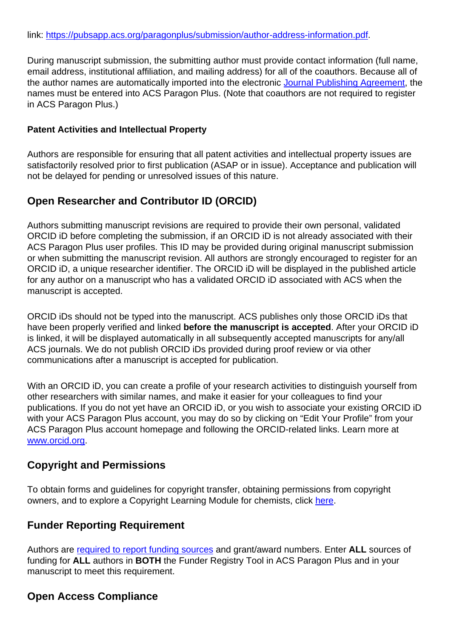During manuscript submission, the submitting author must provide contact information (full name, email address, institutional affiliation, and mailing address) for all of the coauthors. Because all of the author names are automatically imported into the electronic [Journal Publishing Agreement](https://pubs.acs.org/page/copyright/journals/jpa_index.html), the names must be entered into ACS Paragon Plus. (Note that coauthors are not required to register in ACS Paragon Plus.)

#### **Patent Activities and Intellectual Property**

Authors are responsible for ensuring that all patent activities and intellectual property issues are satisfactorily resolved prior to first publication (ASAP or in issue). Acceptance and publication will not be delayed for pending or unresolved issues of this nature.

#### **Open Researcher and Contributor ID (ORCID)**

Authors submitting manuscript revisions are required to provide their own personal, validated ORCID iD before completing the submission, if an ORCID iD is not already associated with their ACS Paragon Plus user profiles. This ID may be provided during original manuscript submission or when submitting the manuscript revision. All authors are strongly encouraged to register for an ORCID iD, a unique researcher identifier. The ORCID iD will be displayed in the published article for any author on a manuscript who has a validated ORCID iD associated with ACS when the manuscript is accepted.

ORCID iDs should not be typed into the manuscript. ACS publishes only those ORCID iDs that have been properly verified and linked **before the manuscript is accepted**. After your ORCID iD is linked, it will be displayed automatically in all subsequently accepted manuscripts for any/all ACS journals. We do not publish ORCID iDs provided during proof review or via other communications after a manuscript is accepted for publication.

With an ORCID iD, you can create a profile of your research activities to distinguish yourself from other researchers with similar names, and make it easier for your colleagues to find your publications. If you do not yet have an ORCID iD, or you wish to associate your existing ORCID iD with your ACS Paragon Plus account, you may do so by clicking on "Edit Your Profile" from your ACS Paragon Plus account homepage and following the ORCID-related links. Learn more at [www.orcid.org](http://www.orcid.org).

#### **Copyright and Permissions**

To obtain forms and guidelines for copyright transfer, obtaining permissions from copyright owners, and to explore a Copyright Learning Module for chemists, click [here](https://pubs.acs.org/page/copyright/index.html).

#### **Funder Reporting Requirement**

Authors are [required to report funding sources](https://pubs.acs.org/page/4authors/funder_options.html) and grant/award numbers. Enter **ALL** sources of funding for **ALL** authors in **BOTH** the Funder Registry Tool in ACS Paragon Plus and in your manuscript to meet this requirement.

## **Open Access Compliance**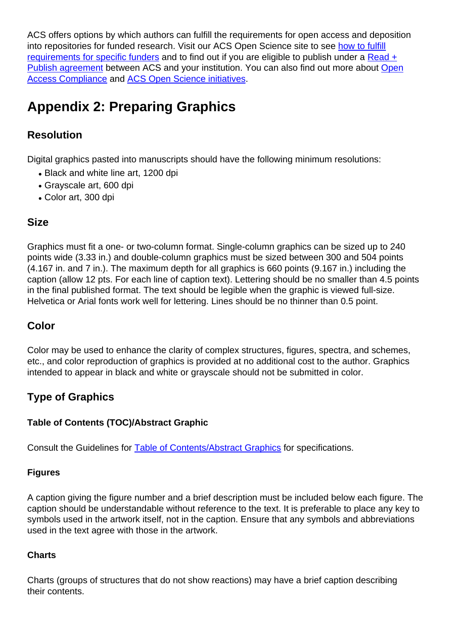ACS offers options by which authors can fulfill the requirements for open access and deposition into repositories for funded research. Visit our ACS Open Science site to see [how to fulfill](https://acsopenscience.org/open-access/funding/) [requirements for specific funders](https://acsopenscience.org/open-access/funding/) and to find out if you are eligible to publish under a [Read +](https://acsopenscience.org/read-publish-agreements/) [Publish agreement](https://acsopenscience.org/read-publish-agreements/) between ACS and your institution. You can also find out more about [Open](https://pubs.acs.org/page/policy/nih/index.html) [Access Compliance](https://pubs.acs.org/page/policy/nih/index.html) and [ACS Open Science initiatives](https://acsopenscience.org/).

# **Appendix 2: Preparing Graphics**

# **Resolution**

Digital graphics pasted into manuscripts should have the following minimum resolutions:

- Black and white line art, 1200 dpi
- Grayscale art, 600 dpi
- Color art, 300 dpi

#### **Size**

Graphics must fit a one- or two-column format. Single-column graphics can be sized up to 240 points wide (3.33 in.) and double-column graphics must be sized between 300 and 504 points (4.167 in. and 7 in.). The maximum depth for all graphics is 660 points (9.167 in.) including the caption (allow 12 pts. For each line of caption text). Lettering should be no smaller than 4.5 points in the final published format. The text should be legible when the graphic is viewed full-size. Helvetica or Arial fonts work well for lettering. Lines should be no thinner than 0.5 point.

## **Color**

Color may be used to enhance the clarity of complex structures, figures, spectra, and schemes, etc., and color reproduction of graphics is provided at no additional cost to the author. Graphics intended to appear in black and white or grayscale should not be submitted in color.

## **Type of Graphics**

#### **Table of Contents (TOC)/Abstract Graphic**

Consult the Guidelines for [Table of Contents/Abstract Graphics](https://pubs.acs.org/paragonplus/submission/toc_abstract_graphics_guidelines.pdf) for specifications.

#### **Figures**

A caption giving the figure number and a brief description must be included below each figure. The caption should be understandable without reference to the text. It is preferable to place any key to symbols used in the artwork itself, not in the caption. Ensure that any symbols and abbreviations used in the text agree with those in the artwork.

#### **Charts**

Charts (groups of structures that do not show reactions) may have a brief caption describing their contents.